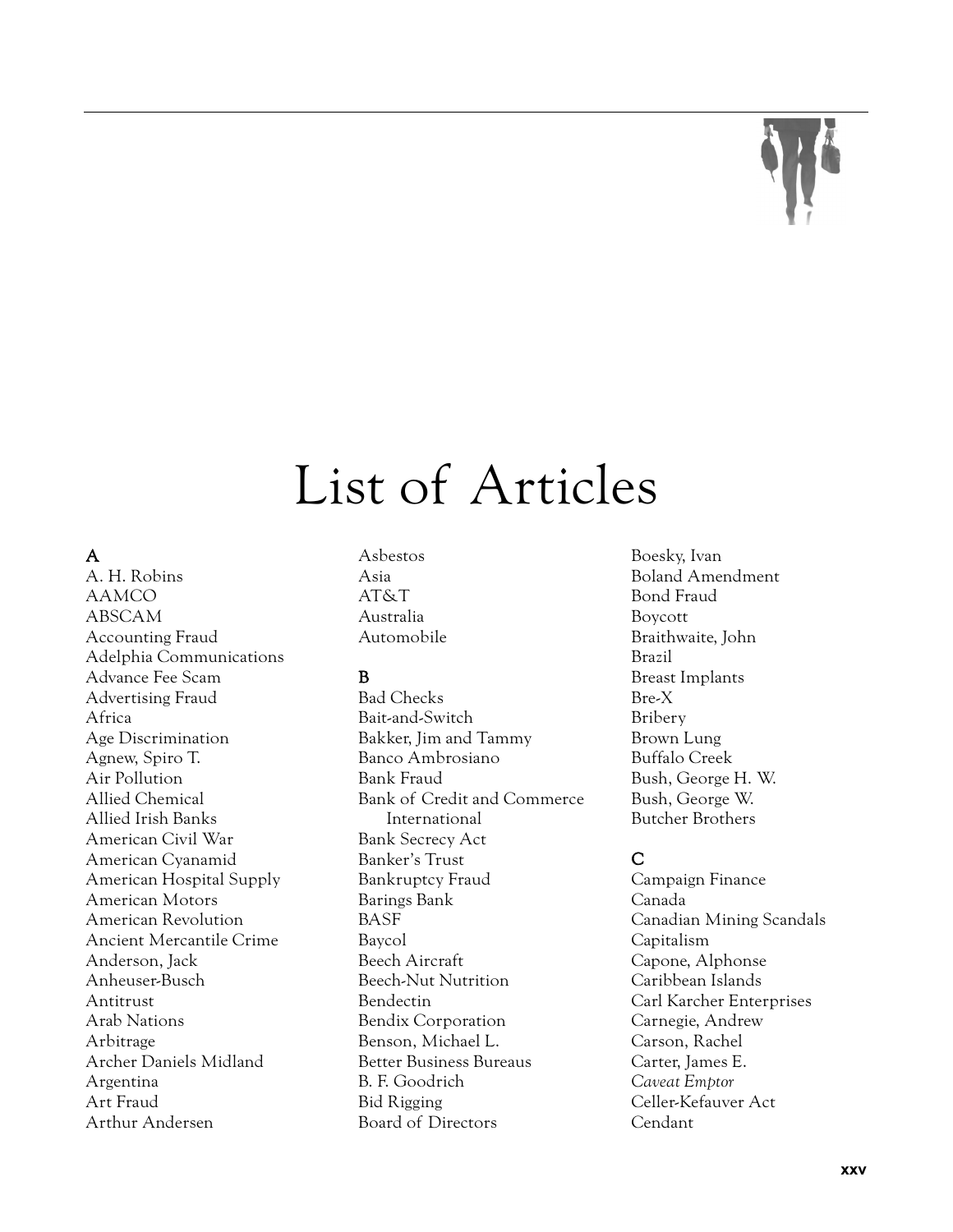# List of Articles

#### A

A. H. Robins AAMCO ABSCAM Accounting Fraud Adelphia Communications Advance Fee Scam Advertising Fraud Africa Age Discrimination Agnew, Spiro T. Air Pollution Allied Chemical Allied Irish Banks American Civil War American Cyanamid American Hospital Supply American Motors American Revolution Ancient Mercantile Crime Anderson, Jack Anheuser-Busch Antitrust Arab Nations Arbitrage Archer Daniels Midland Argentina Art Fraud Arthur Andersen

Asbestos Asia AT&T Australia Automobile

# B

Bad Checks Bait-and-Switch Bakker, Jim and Tammy Banco Ambrosiano Bank Fraud Bank of Credit and Commerce International Bank Secrecy Act Banker's Trust Bankruptcy Fraud Barings Bank BASF Baycol Beech Aircraft Beech-Nut Nutrition Bendectin Bendix Corporation Benson, Michael L. Better Business Bureaus B. F. Goodrich Bid Rigging Board of Directors

Boesky, Ivan Boland Amendment Bond Fraud Boycott Braithwaite, John Brazil Breast Implants Bre-X Bribery Brown Lung Buffalo Creek Bush, George H. W. Bush, George W. Butcher Brothers

# $\mathcal{C}$

Campaign Finance Canada Canadian Mining Scandals Capitalism Capone, Alphonse Caribbean Islands Carl Karcher Enterprises Carnegie, Andrew Carson, Rachel Carter, James E. *Caveat Emptor* Celler-Kefauver Act Cendant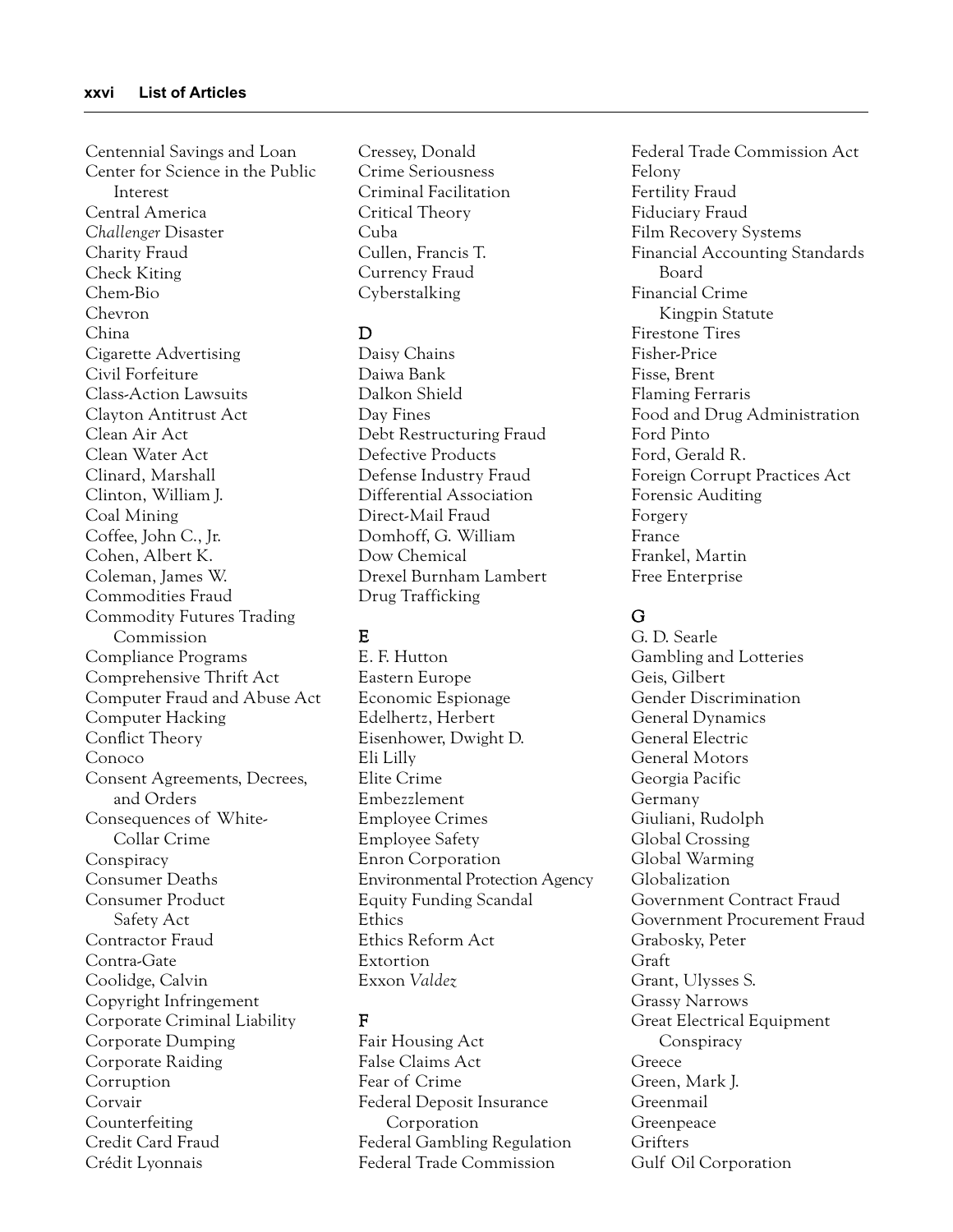Centennial Savings and Loan Center for Science in the Public Interest Central America *Challenger* Disaster Charity Fraud Check Kiting Chem-Bio Chevron China Cigarette Advertising Civil Forfeiture Class-Action Lawsuits Clayton Antitrust Act Clean Air Act Clean Water Act Clinard, Marshall Clinton, William J. Coal Mining Coffee, John C., Jr. Cohen, Albert K. Coleman, James W. Commodities Fraud Commodity Futures Trading Commission Compliance Programs Comprehensive Thrift Act Computer Fraud and Abuse Act Computer Hacking Conflict Theory Conoco Consent Agreements, Decrees, and Orders Consequences of White-Collar Crime Conspiracy Consumer Deaths Consumer Product Safety Act Contractor Fraud Contra-Gate Coolidge, Calvin Copyright Infringement Corporate Criminal Liability Corporate Dumping Corporate Raiding Corruption Corvair Counterfeiting Credit Card Fraud Crédit Lyonnais

Cressey, Donald Crime Seriousness Criminal Facilitation Critical Theory Cuba Cullen, Francis T. Currency Fraud Cyberstalking

#### D

Daisy Chains Daiwa Bank Dalkon Shield Day Fines Debt Restructuring Fraud Defective Products Defense Industry Fraud Differential Association Direct-Mail Fraud Domhoff, G. William Dow Chemical Drexel Burnham Lambert Drug Trafficking

#### E

E. F. Hutton Eastern Europe Economic Espionage Edelhertz, Herbert Eisenhower, Dwight D. Eli Lilly Elite Crime Embezzlement Employee Crimes Employee Safety Enron Corporation Environmental Protection Agency Equity Funding Scandal Ethics Ethics Reform Act Extortion Exxon *Valdez*

#### F

Fair Housing Act False Claims Act Fear of Crime Federal Deposit Insurance Corporation Federal Gambling Regulation Federal Trade Commission

Federal Trade Commission Act Felony Fertility Fraud Fiduciary Fraud Film Recovery Systems Financial Accounting Standards Board Financial Crime Kingpin Statute Firestone Tires Fisher-Price Fisse, Brent Flaming Ferraris Food and Drug Administration Ford Pinto Ford, Gerald R. Foreign Corrupt Practices Act Forensic Auditing Forgery France Frankel, Martin Free Enterprise

## G

G. D. Searle Gambling and Lotteries Geis, Gilbert Gender Discrimination General Dynamics General Electric General Motors Georgia Pacific Germany Giuliani, Rudolph Global Crossing Global Warming Globalization Government Contract Fraud Government Procurement Fraud Grabosky, Peter Graft Grant, Ulysses S. Grassy Narrows Great Electrical Equipment Conspiracy Greece Green, Mark J. Greenmail Greenpeace Grifters Gulf Oil Corporation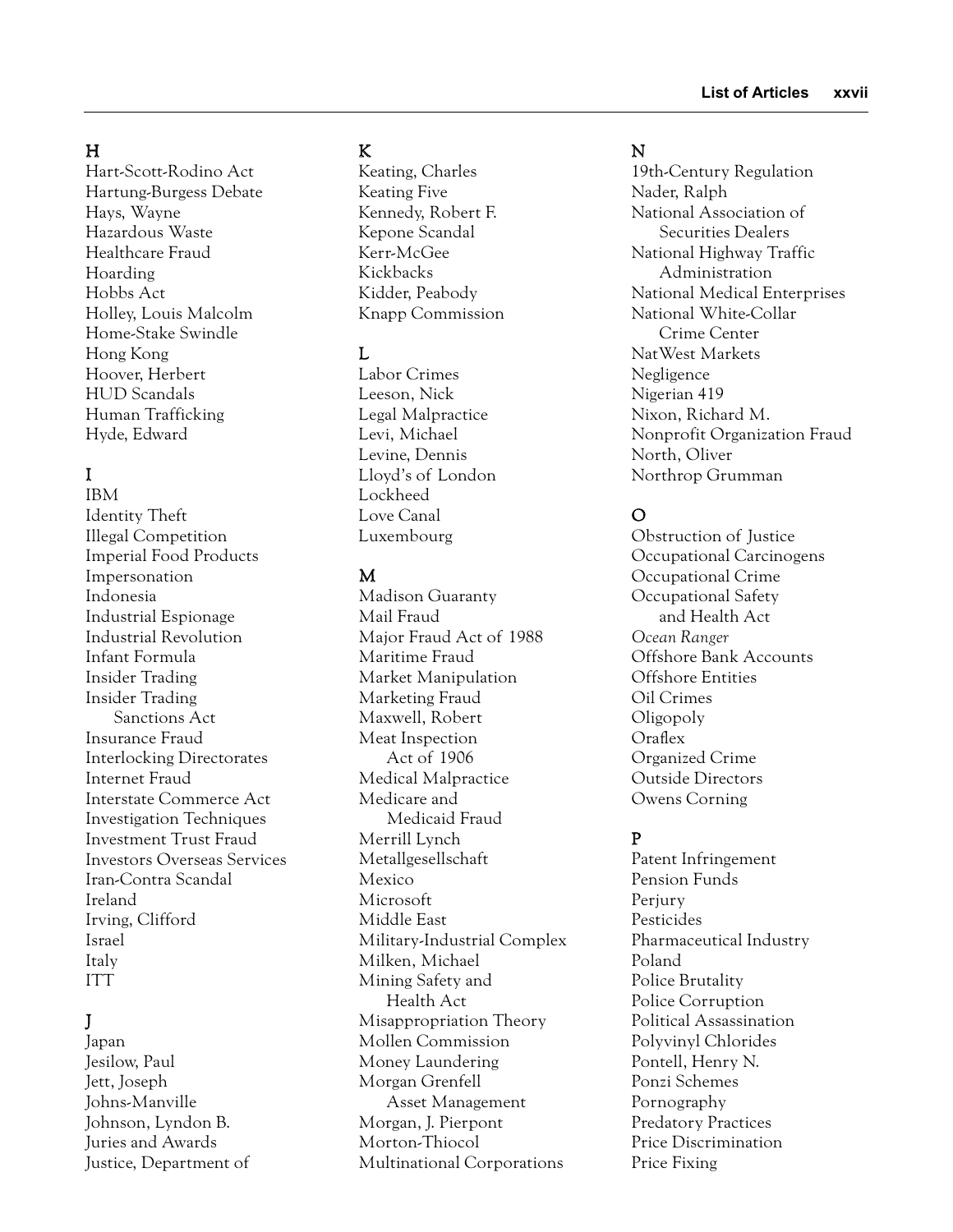#### H

Hart-Scott-Rodino Act Hartung-Burgess Debate Hays, Wayne Hazardous Waste Healthcare Fraud Hoarding Hobbs Act Holley, Louis Malcolm Home-Stake Swindle Hong Kong Hoover, Herbert HUD Scandals Human Trafficking Hyde, Edward

#### I

IBM Identity Theft Illegal Competition Imperial Food Products Impersonation Indonesia Industrial Espionage Industrial Revolution Infant Formula Insider Trading Insider Trading Sanctions Act Insurance Fraud Interlocking Directorates Internet Fraud Interstate Commerce Act Investigation Techniques Investment Trust Fraud Investors Overseas Services Iran-Contra Scandal Ireland Irving, Clifford Israel Italy ITT

#### J

Japan Jesilow, Paul Jett, Joseph Johns-Manville Johnson, Lyndon B. Juries and Awards Justice, Department of

### K

Keating, Charles Keating Five Kennedy, Robert F. Kepone Scandal Kerr-McGee Kickbacks Kidder, Peabody Knapp Commission

#### L

Labor Crimes Leeson, Nick Legal Malpractice Levi, Michael Levine, Dennis Lloyd's of London Lockheed Love Canal Luxembourg

#### M

Madison Guaranty Mail Fraud Major Fraud Act of 1988 Maritime Fraud Market Manipulation Marketing Fraud Maxwell, Robert Meat Inspection Act of 1906 Medical Malpractice Medicare and Medicaid Fraud Merrill Lynch Metallgesellschaft Mexico Microsoft Middle East Military-Industrial Complex Milken, Michael Mining Safety and Health Act Misappropriation Theory Mollen Commission Money Laundering Morgan Grenfell Asset Management Morgan, J. Pierpont Morton-Thiocol Multinational Corporations

#### N

19th-Century Regulation Nader, Ralph National Association of Securities Dealers National Highway Traffic Administration National Medical Enterprises National White-Collar Crime Center NatWest Markets Negligence Nigerian 419 Nixon, Richard M. Nonprofit Organization Fraud North, Oliver Northrop Grumman

#### O

Obstruction of Justice Occupational Carcinogens Occupational Crime Occupational Safety and Health Act *Ocean Ranger* Offshore Bank Accounts Offshore Entities Oil Crimes Oligopoly Oraflex Organized Crime Outside Directors Owens Corning

#### P

Patent Infringement Pension Funds Perjury Pesticides Pharmaceutical Industry Poland Police Brutality Police Corruption Political Assassination Polyvinyl Chlorides Pontell, Henry N. Ponzi Schemes Pornography Predatory Practices Price Discrimination Price Fixing